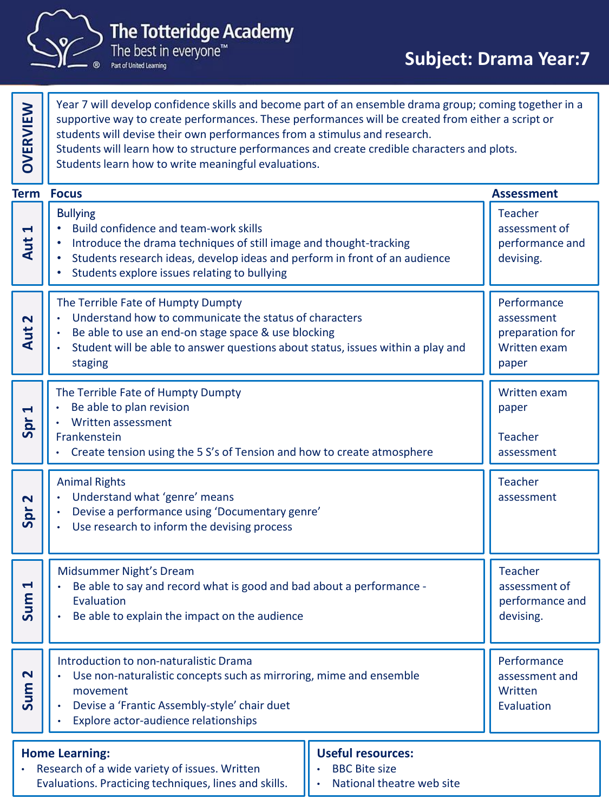

**The Totteridge Academy** 

The best in everyone<sup>™</sup> Part of United Learning

Year 7 will develop confidence skills and become part of an ensemble drama group; coming together in a supportive way to create performances. These performances will be created from either a script or students will devise their own performances from a stimulus and research. Students will learn how to structure performances and create credible characters and plots. Students learn how to write meaningful evaluations. **OVERVIEW** Bullying • Build confidence and team-work skills • Introduce the drama techniques of still image and thought-tracking • Students research ideas, develop ideas and perform in front of an audience • Students explore issues relating to bullying Teacher assessment of performance and **Aut** devising. **1**The Terrible Fate of Humpty Dumpty • Understand how to communicate the status of characters • Be able to use an end-on stage space & use blocking • Student will be able to answer questions about status, issues within a play and staging **Performance** assessment preparation for Written exam paper **Aut**  $\overline{N}$ The Terrible Fate of Humpty Dumpty Be able to plan revision • Written assessment Frankenstein • Create tension using the 5 S's of Tension and how to create atmosphere Written exam paper Teacher assessment **Spr 1**Animal Rights Understand what 'genre' means • Devise a performance using 'Documentary genre' Use research to inform the devising process **Teacher** assessment **Spr 2**Midsummer Night's Dream • Be able to say and record what is good and bad about a performance - Evaluation Be able to explain the impact on the audience **Performance** assessment and **Written** Evaluation **Sum 1** Introduction to non-naturalistic Drama • Use non-naturalistic concepts such as mirroring, mime and ensemble movement • Devise a 'Frantic Assembly-style' chair duet • Explore actor-audience relationships Teacher assessment of performance and devising. **Sum 2 Term Assessment Home Learning:** • Research of a wide variety of issues. Written Evaluations. Practicing techniques, lines and skills. **Useful resources:** • BBC Bite size • National theatre web site **Focus**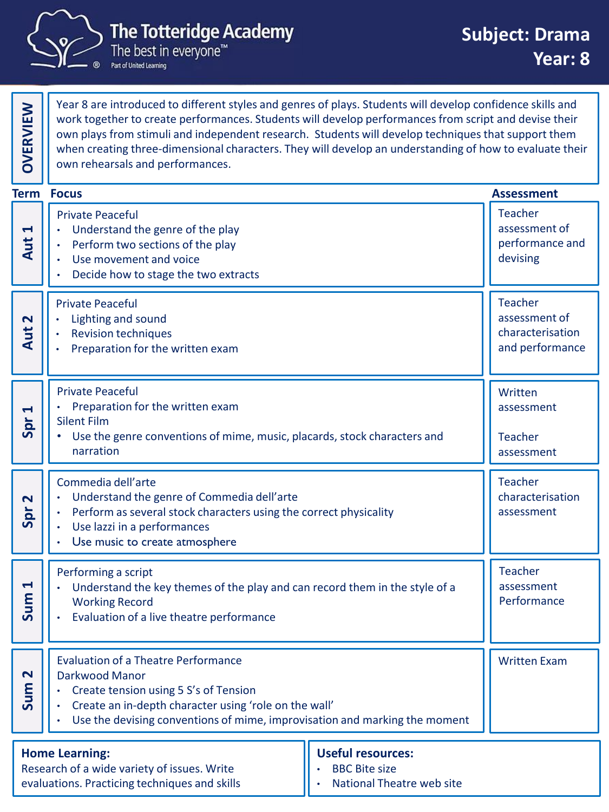

**OVERVIEW**

Part of United Learning

Year 8 are introduced to different styles and genres of plays. Students will develop confidence skills and work together to create performances. Students will develop performances from script and devise their own plays from stimuli and independent research. Students will develop techniques that support them when creating three-dimensional characters. They will develop an understanding of how to evaluate their own rehearsals and performances.

|                                                                                                                       | <b>Term Focus</b>                                                                                                                                                                                                                            |                                                                                      | <b>Assessment</b>                                              |
|-----------------------------------------------------------------------------------------------------------------------|----------------------------------------------------------------------------------------------------------------------------------------------------------------------------------------------------------------------------------------------|--------------------------------------------------------------------------------------|----------------------------------------------------------------|
| $\blacktriangleleft$<br>Aut i                                                                                         | <b>Private Peaceful</b><br>Understand the genre of the play<br>Perform two sections of the play<br>Use movement and voice<br>Decide how to stage the two extracts                                                                            |                                                                                      | <b>Teacher</b><br>assessment of<br>performance and<br>devising |
| $\overline{\mathbf{N}}$<br>Aut                                                                                        | <b>Private Peaceful</b><br>Lighting and sound<br><b>Revision techniques</b><br>Preparation for the written exam                                                                                                                              | <b>Teacher</b><br>assessment of<br>characterisation<br>and performance               |                                                                |
| 4<br>Spr                                                                                                              | <b>Private Peaceful</b><br>Preparation for the written exam<br><b>Silent Film</b><br>Use the genre conventions of mime, music, placards, stock characters and<br>narration                                                                   | Written<br>assessment<br><b>Teacher</b><br>assessment                                |                                                                |
| $\mathbf{\Omega}$<br>Spr                                                                                              | Commedia dell'arte<br>Understand the genre of Commedia dell'arte<br>Perform as several stock characters using the correct physicality<br>Use lazzi in a performances<br>Use music to create atmosphere                                       | <b>Teacher</b><br>characterisation<br>assessment                                     |                                                                |
| $\blacktriangleleft$<br>Sum                                                                                           | Performing a script<br>Understand the key themes of the play and can record them in the style of a<br><b>Working Record</b><br>Evaluation of a live theatre performance                                                                      |                                                                                      | Teacher<br>assessment<br>Performance                           |
| $\mathbf{\Omega}$<br>$\mathsf{E}$<br>Sur                                                                              | <b>Evaluation of a Theatre Performance</b><br>Darkwood Manor<br>Create tension using 5 S's of Tension<br>Create an in-depth character using 'role on the wall'<br>Use the devising conventions of mime, improvisation and marking the moment |                                                                                      | <b>Written Exam</b>                                            |
| <b>Home Learning:</b><br>Research of a wide variety of issues. Write<br>evaluations. Practicing techniques and skills |                                                                                                                                                                                                                                              | <b>Useful resources:</b><br><b>BBC Bite size</b><br><b>National Theatre web site</b> |                                                                |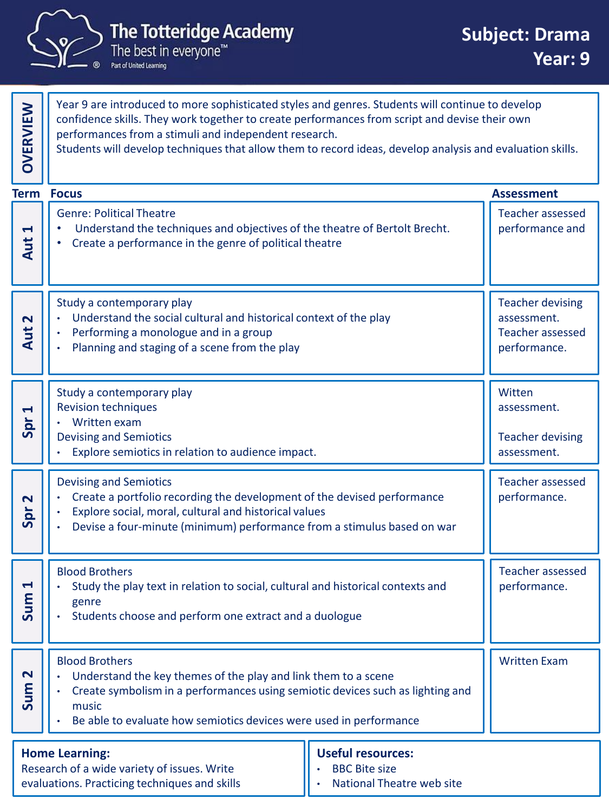

Part of United Learning

Year 9 are introduced to more sophisticated styles and genres. Students will continue to develop confidence skills. They work together to create performances from script and devise their own performances from a stimuli and independent research. Students will develop techniques that allow them to record ideas, develop analysis and evaluation skills. **OVERVIEW** Genre: Political Theatre Understand the techniques and objectives of the theatre of Bertolt Brecht. • Create a performance in the genre of political theatre Teacher assessed performance and **Aut 1**Study a contemporary play • Understand the social cultural and historical context of the play • Performing a monologue and in a group • Planning and staging of a scene from the play Teacher devising assessment. Teacher assessed **Aut** performance.  $\overline{N}$ Study a contemporary play Revision techniques • Written exam Devising and Semiotics Explore semiotics in relation to audience impact. **Witten** assessment. Teacher devising assessment. **Spr 1**Devising and Semiotics • Create a portfolio recording the development of the devised performance • Explore social, moral, cultural and historical values • Devise a four-minute (minimum) performance from a stimulus based on war Teacher assessed performance. **Spr 2**Blood Brothers • Study the play text in relation to social, cultural and historical contexts and genre Students choose and perform one extract and a duologue Written Exam **Sum 1** Blood Brothers Understand the key themes of the play and link them to a scene • Create symbolism in a performances using semiotic devices such as lighting and music Be able to evaluate how semiotics devices were used in performance Teacher assessed performance. **Sum 2 Term Assessment Home Learning:** Research of a wide variety of issues. Write evaluations. Practicing techniques and skills **Useful resources:** • BBC Bite size • National Theatre web site **Focus**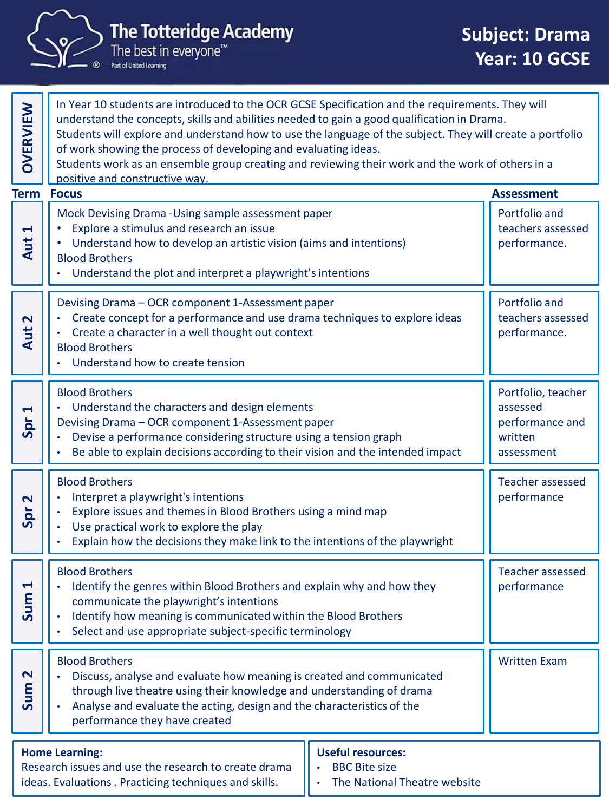

## The Totteridge Academy<br>The best in everyone™<br>Partof United Learning

| <b>OVERVIEW</b>                                                                                                                         | In Year 10 students are introduced to the OCR GCSE Specification and the requirements. They will<br>understand the concepts, skills and abilities needed to gain a good qualification in Drama.<br>Students will explore and understand how to use the language of the subject. They will create a portfolio<br>of work showing the process of developing and evaluating ideas.<br>Students work as an ensemble group creating and reviewing their work and the work of others in a<br>positive and constructive way. |                                                                            |                                                    |  |  |
|-----------------------------------------------------------------------------------------------------------------------------------------|-----------------------------------------------------------------------------------------------------------------------------------------------------------------------------------------------------------------------------------------------------------------------------------------------------------------------------------------------------------------------------------------------------------------------------------------------------------------------------------------------------------------------|----------------------------------------------------------------------------|----------------------------------------------------|--|--|
| <b>Term</b>                                                                                                                             | <b>Focus</b>                                                                                                                                                                                                                                                                                                                                                                                                                                                                                                          |                                                                            | <b>Assessment</b>                                  |  |  |
| $\blacktriangleleft$<br>Aut                                                                                                             | Mock Devising Drama - Using sample assessment paper<br>Explore a stimulus and research an issue<br>Understand how to develop an artistic vision (aims and intentions)<br><b>Blood Brothers</b><br>Understand the plot and interpret a playwright's intentions                                                                                                                                                                                                                                                         |                                                                            | Portfolio and<br>teachers assessed<br>performance. |  |  |
| $\overline{\mathbf{N}}$<br>Aut                                                                                                          | Devising Drama - OCR component 1-Assessment paper<br>Create concept for a performance and use drama techniques to explore ideas<br>Create a character in a well thought out context<br><b>Blood Brothers</b><br>Understand how to create tension                                                                                                                                                                                                                                                                      | Portfolio and<br>teachers assessed<br>performance.                         |                                                    |  |  |
| $\blacktriangleleft$<br>Spr                                                                                                             | <b>Blood Brothers</b><br>Understand the characters and design elements<br>Devising Drama - OCR component 1-Assessment paper<br>Devise a performance considering structure using a tension graph<br>Be able to explain decisions according to their vision and the intended impact                                                                                                                                                                                                                                     | Portfolio, teacher<br>assessed<br>performance and<br>written<br>assessment |                                                    |  |  |
| $\mathbf{\mathsf{N}}$<br>Spr                                                                                                            | <b>Blood Brothers</b><br>Interpret a playwright's intentions<br>Explore issues and themes in Blood Brothers using a mind map<br>Use practical work to explore the play<br>Explain how the decisions they make link to the intentions of the playwright                                                                                                                                                                                                                                                                | <b>Teacher assessed</b><br>performance                                     |                                                    |  |  |
| Ч<br>ξ<br><u>Ja</u>                                                                                                                     | <b>Blood Brothers</b><br>Identify the genres within Blood Brothers and explain why and how they<br>communicate the playwright's intentions<br>Identify how meaning is communicated within the Blood Brothers<br>Select and use appropriate subject-specific terminology                                                                                                                                                                                                                                               |                                                                            | <b>Teacher assessed</b><br>performance             |  |  |
| $\mathbf{\mathbf{N}}$<br>Sum                                                                                                            | <b>Blood Brothers</b><br>Discuss, analyse and evaluate how meaning is created and communicated<br>through live theatre using their knowledge and understanding of drama<br>Analyse and evaluate the acting, design and the characteristics of the<br>performance they have created                                                                                                                                                                                                                                    |                                                                            | <b>Written Exam</b>                                |  |  |
| <b>Home Learning:</b><br>Research issues and use the research to create drama<br>ideas. Evaluations . Practicing techniques and skills. |                                                                                                                                                                                                                                                                                                                                                                                                                                                                                                                       |                                                                            |                                                    |  |  |